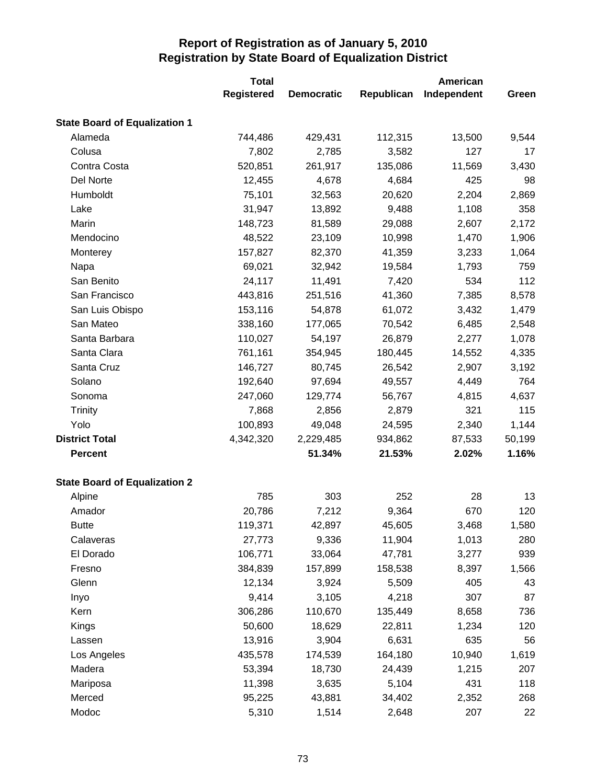|                                      | <b>Total</b>      |                   |            | American    |        |
|--------------------------------------|-------------------|-------------------|------------|-------------|--------|
|                                      | <b>Registered</b> | <b>Democratic</b> | Republican | Independent | Green  |
| <b>State Board of Equalization 1</b> |                   |                   |            |             |        |
| Alameda                              | 744,486           | 429,431           | 112,315    | 13,500      | 9,544  |
| Colusa                               | 7,802             | 2,785             | 3,582      | 127         | 17     |
| Contra Costa                         | 520,851           | 261,917           | 135,086    | 11,569      | 3,430  |
| Del Norte                            | 12,455            | 4,678             | 4,684      | 425         | 98     |
| Humboldt                             | 75,101            | 32,563            | 20,620     | 2,204       | 2,869  |
| Lake                                 | 31,947            | 13,892            | 9,488      | 1,108       | 358    |
| Marin                                | 148,723           | 81,589            | 29,088     | 2,607       | 2,172  |
| Mendocino                            | 48,522            | 23,109            | 10,998     | 1,470       | 1,906  |
| Monterey                             | 157,827           | 82,370            | 41,359     | 3,233       | 1,064  |
| Napa                                 | 69,021            | 32,942            | 19,584     | 1,793       | 759    |
| San Benito                           | 24,117            | 11,491            | 7,420      | 534         | 112    |
| San Francisco                        | 443,816           | 251,516           | 41,360     | 7,385       | 8,578  |
| San Luis Obispo                      | 153,116           | 54,878            | 61,072     | 3,432       | 1,479  |
| San Mateo                            | 338,160           | 177,065           | 70,542     | 6,485       | 2,548  |
| Santa Barbara                        | 110,027           | 54,197            | 26,879     | 2,277       | 1,078  |
| Santa Clara                          | 761,161           | 354,945           | 180,445    | 14,552      | 4,335  |
| Santa Cruz                           | 146,727           | 80,745            | 26,542     | 2,907       | 3,192  |
| Solano                               | 192,640           | 97,694            | 49,557     | 4,449       | 764    |
| Sonoma                               | 247,060           | 129,774           | 56,767     | 4,815       | 4,637  |
| <b>Trinity</b>                       | 7,868             | 2,856             | 2,879      | 321         | 115    |
| Yolo                                 | 100,893           | 49,048            | 24,595     | 2,340       | 1,144  |
| <b>District Total</b>                | 4,342,320         | 2,229,485         | 934,862    | 87,533      | 50,199 |
| <b>Percent</b>                       |                   | 51.34%            | 21.53%     | 2.02%       | 1.16%  |
| <b>State Board of Equalization 2</b> |                   |                   |            |             |        |
| Alpine                               | 785               | 303               | 252        | 28          | 13     |
| Amador                               | 20,786            | 7,212             | 9,364      | 670         | 120    |
| <b>Butte</b>                         | 119,371           | 42,897            | 45,605     | 3,468       | 1,580  |
| Calaveras                            | 27,773            | 9,336             | 11,904     | 1,013       | 280    |
| El Dorado                            | 106,771           | 33,064            | 47,781     | 3,277       | 939    |
| Fresno                               | 384,839           | 157,899           | 158,538    | 8,397       | 1,566  |
| Glenn                                | 12,134            | 3,924             | 5,509      | 405         | 43     |
| Inyo                                 | 9,414             | 3,105             | 4,218      | 307         | 87     |
| Kern                                 | 306,286           | 110,670           | 135,449    | 8,658       | 736    |
| Kings                                | 50,600            | 18,629            | 22,811     | 1,234       | 120    |
| Lassen                               | 13,916            | 3,904             | 6,631      | 635         | 56     |
| Los Angeles                          | 435,578           | 174,539           | 164,180    | 10,940      | 1,619  |
| Madera                               | 53,394            | 18,730            | 24,439     | 1,215       | 207    |
| Mariposa                             | 11,398            | 3,635             | 5,104      | 431         | 118    |
| Merced                               | 95,225            | 43,881            | 34,402     | 2,352       | 268    |
| Modoc                                | 5,310             | 1,514             | 2,648      | 207         | 22     |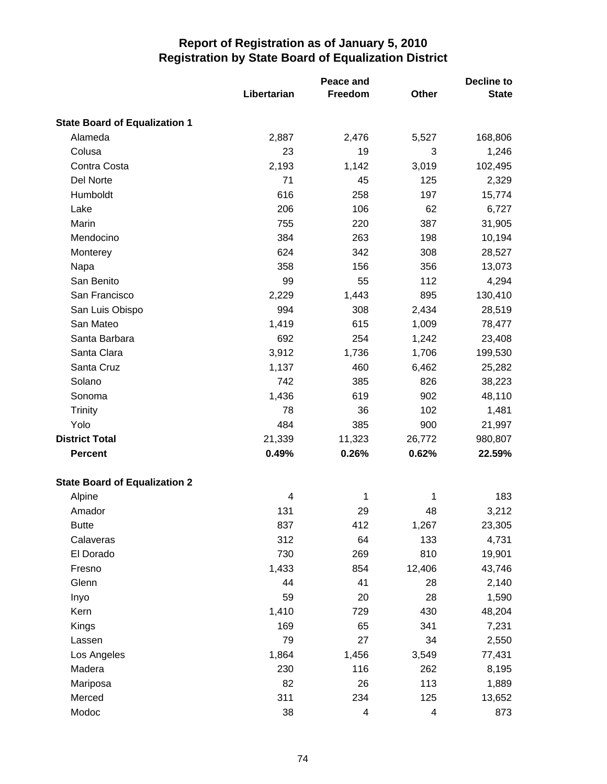|                                      | Libertarian | Peace and<br>Freedom | Other  | <b>Decline to</b><br><b>State</b> |
|--------------------------------------|-------------|----------------------|--------|-----------------------------------|
| <b>State Board of Equalization 1</b> |             |                      |        |                                   |
| Alameda                              | 2,887       | 2,476                | 5,527  | 168,806                           |
| Colusa                               | 23          | 19                   | 3      | 1,246                             |
| Contra Costa                         | 2,193       | 1,142                | 3,019  | 102,495                           |
| Del Norte                            | 71          | 45                   | 125    | 2,329                             |
| Humboldt                             | 616         | 258                  | 197    | 15,774                            |
| Lake                                 | 206         | 106                  | 62     | 6,727                             |
| Marin                                | 755         | 220                  | 387    | 31,905                            |
| Mendocino                            | 384         | 263                  | 198    | 10,194                            |
| Monterey                             | 624         | 342                  | 308    | 28,527                            |
| Napa                                 | 358         | 156                  | 356    | 13,073                            |
| San Benito                           | 99          | 55                   | 112    | 4,294                             |
| San Francisco                        | 2,229       | 1,443                | 895    | 130,410                           |
| San Luis Obispo                      | 994         | 308                  | 2,434  | 28,519                            |
| San Mateo                            | 1,419       | 615                  | 1,009  | 78,477                            |
| Santa Barbara                        | 692         | 254                  | 1,242  | 23,408                            |
| Santa Clara                          | 3,912       | 1,736                | 1,706  | 199,530                           |
| Santa Cruz                           | 1,137       | 460                  | 6,462  | 25,282                            |
| Solano                               | 742         | 385                  | 826    | 38,223                            |
| Sonoma                               | 1,436       | 619                  | 902    | 48,110                            |
| <b>Trinity</b>                       | 78          | 36                   | 102    | 1,481                             |
| Yolo                                 | 484         | 385                  | 900    | 21,997                            |
| <b>District Total</b>                | 21,339      | 11,323               | 26,772 | 980,807                           |
| <b>Percent</b>                       | 0.49%       | 0.26%                | 0.62%  | 22.59%                            |
| <b>State Board of Equalization 2</b> |             |                      |        |                                   |
| Alpine                               | 4           | 1                    | 1      | 183                               |
| Amador                               | 131         | 29                   | 48     | 3,212                             |
| <b>Butte</b>                         | 837         | 412                  | 1,267  | 23,305                            |
| Calaveras                            | 312         | 64                   | 133    | 4,731                             |
| El Dorado                            | 730         | 269                  | 810    | 19,901                            |
| Fresno                               | 1,433       | 854                  | 12,406 | 43,746                            |
| Glenn                                | 44          | 41                   | 28     | 2,140                             |
| Inyo                                 | 59          | 20                   | 28     | 1,590                             |
| Kern                                 | 1,410       | 729                  | 430    | 48,204                            |
| Kings                                | 169         | 65                   | 341    | 7,231                             |
| Lassen                               | 79          | 27                   | 34     | 2,550                             |
| Los Angeles                          | 1,864       | 1,456                | 3,549  | 77,431                            |
| Madera                               | 230         | 116                  | 262    | 8,195                             |
| Mariposa                             | 82          | 26                   | 113    | 1,889                             |
| Merced                               | 311         | 234                  | 125    | 13,652                            |
| Modoc                                | 38          | 4                    | 4      | 873                               |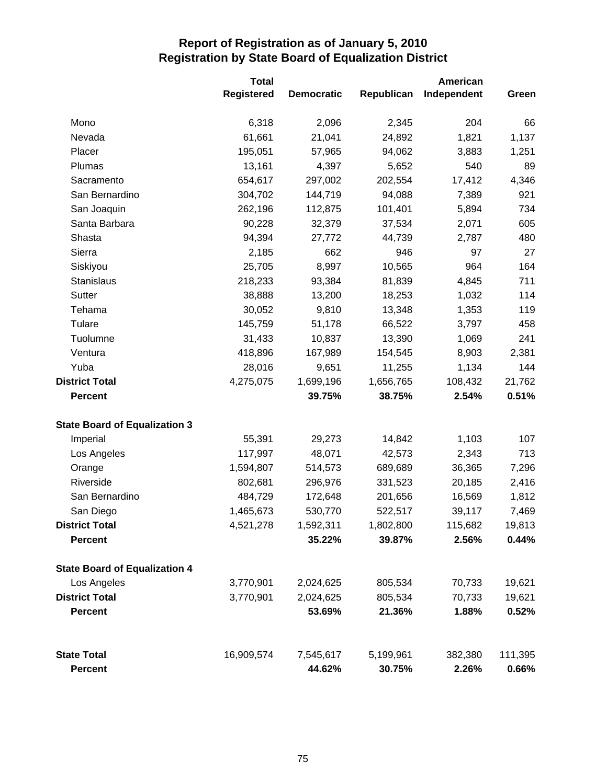|                                      | <b>Total</b>      |                   | American   |             |         |
|--------------------------------------|-------------------|-------------------|------------|-------------|---------|
|                                      | <b>Registered</b> | <b>Democratic</b> | Republican | Independent | Green   |
| Mono                                 | 6,318             | 2,096             | 2,345      | 204         | 66      |
| Nevada                               | 61,661            | 21,041            | 24,892     | 1,821       | 1,137   |
| Placer                               | 195,051           | 57,965            | 94,062     | 3,883       | 1,251   |
| Plumas                               | 13,161            | 4,397             | 5,652      | 540         | 89      |
| Sacramento                           | 654,617           | 297,002           | 202,554    | 17,412      | 4,346   |
| San Bernardino                       | 304,702           | 144,719           | 94,088     | 7,389       | 921     |
| San Joaquin                          | 262,196           | 112,875           | 101,401    | 5,894       | 734     |
| Santa Barbara                        | 90,228            | 32,379            | 37,534     | 2,071       | 605     |
| Shasta                               | 94,394            | 27,772            | 44,739     | 2,787       | 480     |
| Sierra                               | 2,185             | 662               | 946        | 97          | 27      |
| Siskiyou                             | 25,705            | 8,997             | 10,565     | 964         | 164     |
| Stanislaus                           | 218,233           | 93,384            | 81,839     | 4,845       | 711     |
| Sutter                               | 38,888            | 13,200            | 18,253     | 1,032       | 114     |
| Tehama                               | 30,052            | 9,810             | 13,348     | 1,353       | 119     |
| Tulare                               | 145,759           | 51,178            | 66,522     | 3,797       | 458     |
| Tuolumne                             | 31,433            | 10,837            | 13,390     | 1,069       | 241     |
| Ventura                              | 418,896           | 167,989           | 154,545    | 8,903       | 2,381   |
| Yuba                                 | 28,016            | 9,651             | 11,255     | 1,134       | 144     |
| <b>District Total</b>                | 4,275,075         | 1,699,196         | 1,656,765  | 108,432     | 21,762  |
| <b>Percent</b>                       |                   | 39.75%            | 38.75%     | 2.54%       | 0.51%   |
| <b>State Board of Equalization 3</b> |                   |                   |            |             |         |
| Imperial                             | 55,391            | 29,273            | 14,842     | 1,103       | 107     |
| Los Angeles                          | 117,997           | 48,071            | 42,573     | 2,343       | 713     |
| Orange                               | 1,594,807         | 514,573           | 689,689    | 36,365      | 7,296   |
| Riverside                            | 802,681           | 296,976           | 331,523    | 20,185      | 2,416   |
| San Bernardino                       | 484,729           | 172,648           | 201,656    | 16,569      | 1,812   |
| San Diego                            | 1,465,673         | 530,770           | 522,517    | 39,117      | 7,469   |
| <b>District Total</b>                | 4,521,278         | 1,592,311         | 1,802,800  | 115,682     | 19,813  |
| <b>Percent</b>                       |                   | 35.22%            | 39.87%     | 2.56%       | 0.44%   |
| <b>State Board of Equalization 4</b> |                   |                   |            |             |         |
| Los Angeles                          | 3,770,901         | 2,024,625         | 805,534    | 70,733      | 19,621  |
| <b>District Total</b>                | 3,770,901         | 2,024,625         | 805,534    | 70,733      | 19,621  |
| <b>Percent</b>                       |                   | 53.69%            | 21.36%     | 1.88%       | 0.52%   |
| <b>State Total</b>                   | 16,909,574        | 7,545,617         | 5,199,961  | 382,380     | 111,395 |
| <b>Percent</b>                       |                   | 44.62%            | 30.75%     | 2.26%       | 0.66%   |